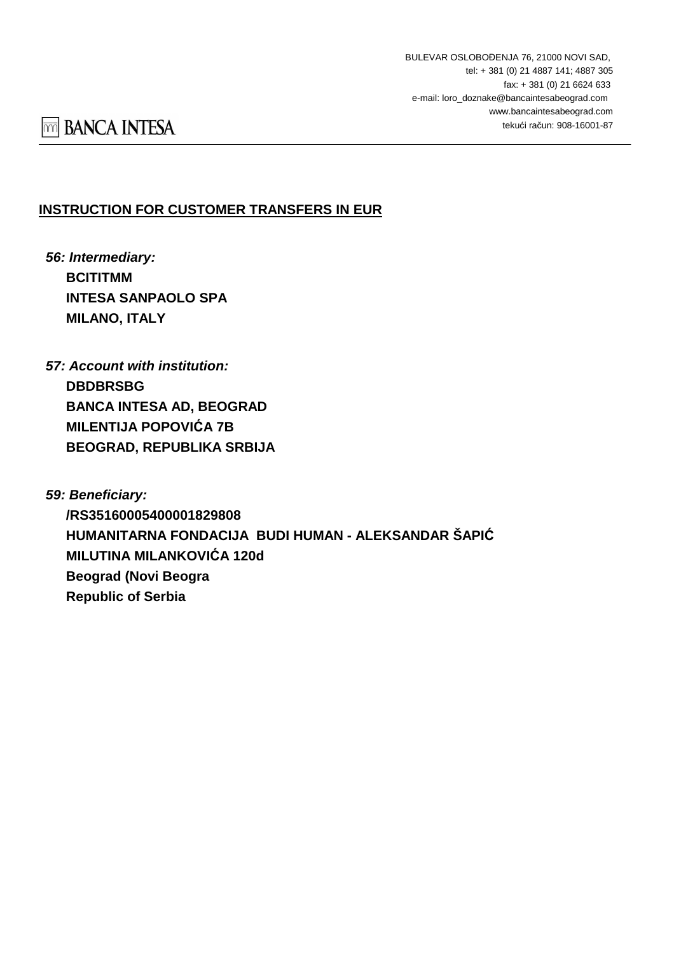### **INSTRUCTION FOR CUSTOMER TRANSFERS IN EUR**

- **56: Intermediary: BCITITMM INTESA SANPAOLO SPA MILANO, ITALY**
- **57: Account with institution: DBDBRSBG BANCA INTESA AD, BEOGRAD MILENTIJA POPOVIĆA 7B BEOGRAD, REPUBLIKA SRBIJA**
- **59: Beneficiary: /RS35160005400001829808 HUMANITARNA FONDACIJA BUDI HUMAN - ALEKSANDAR ŠAPIĆ MILUTINA MILANKOVIĆA 120d Beograd (Novi Beogra Republic of Serbia**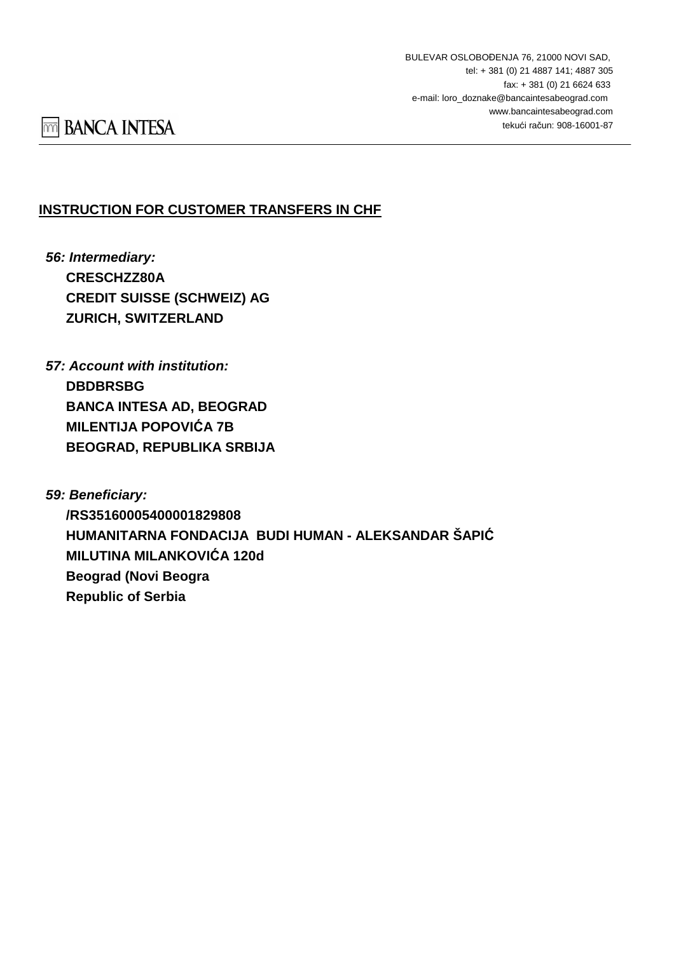### **INSTRUCTION FOR CUSTOMER TRANSFERS IN CHF**

- **56: Intermediary: CRESCHZZ80A CREDIT SUISSE (SCHWEIZ) AG ZURICH, SWITZERLAND**
- **57: Account with institution: DBDBRSBG BANCA INTESA AD, BEOGRAD MILENTIJA POPOVIĆA 7B BEOGRAD, REPUBLIKA SRBIJA**
- **59: Beneficiary: /RS35160005400001829808 HUMANITARNA FONDACIJA BUDI HUMAN - ALEKSANDAR ŠAPIĆ MILUTINA MILANKOVIĆA 120d Beograd (Novi Beogra Republic of Serbia**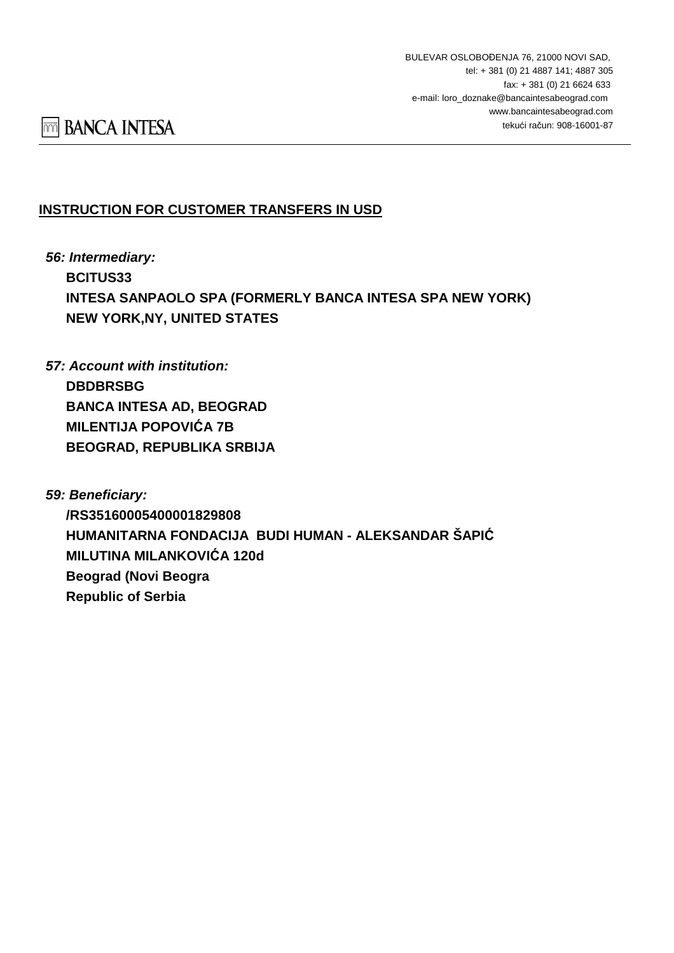## **INSTRUCTION FOR CUSTOMER TRANSFERS IN USD**

**56: Intermediary: BCITUS33 INTESA SANPAOLO SPA (FORMERLY BANCA INTESA SPA NEW YORK) NEW YORK,NY, UNITED STATES**

**57: Account with institution: DBDBRSBG BANCA INTESA AD, BEOGRAD MILENTIJA POPOVIĆA 7B BEOGRAD, REPUBLIKA SRBIJA**

**59: Beneficiary: /RS35160005400001829808 HUMANITARNA FONDACIJA BUDI HUMAN - ALEKSANDAR ŠAPIĆ MILUTINA MILANKOVIĆA 120d Beograd (Novi Beogra Republic of Serbia**